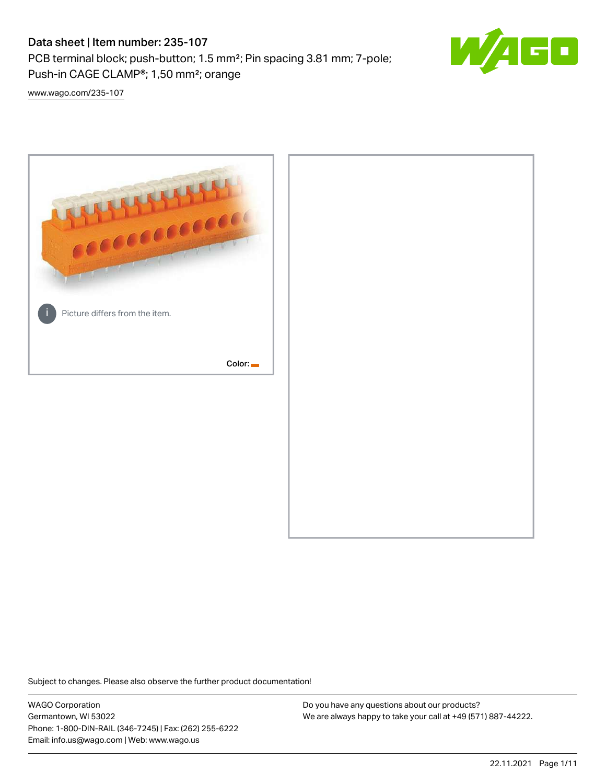PCB terminal block; push-button; 1.5 mm²; Pin spacing 3.81 mm; 7-pole; Push-in CAGE CLAMP®; 1,50 mm²; orange



[www.wago.com/235-107](http://www.wago.com/235-107)



Subject to changes. Please also observe the further product documentation!

WAGO Corporation Germantown, WI 53022 Phone: 1-800-DIN-RAIL (346-7245) | Fax: (262) 255-6222 Email: info.us@wago.com | Web: www.wago.us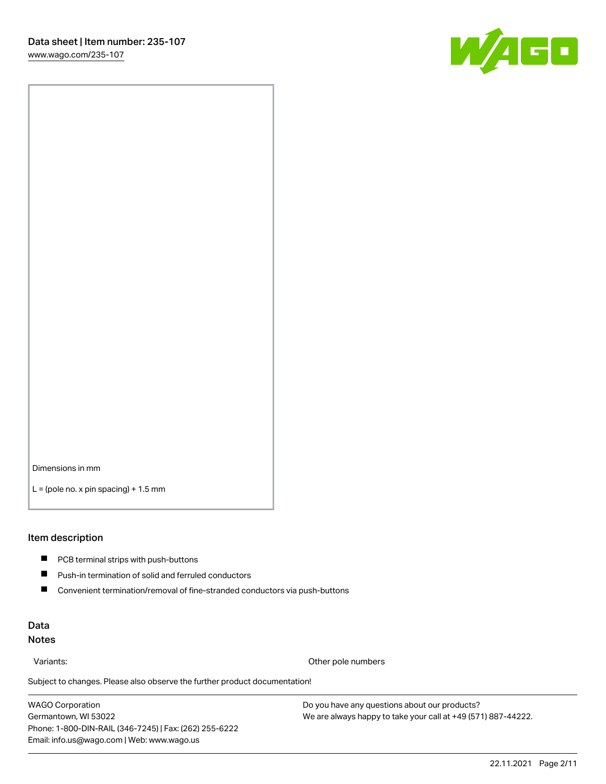

Dimensions in mm

 $L =$  (pole no. x pin spacing) + 1.5 mm

#### Item description

- **PCB terminal strips with push-buttons**
- $\blacksquare$ Push-in termination of solid and ferruled conductors
- $\blacksquare$ Convenient termination/removal of fine-stranded conductors via push-buttons

### Data Notes

Variants: Other pole numbers

Subject to changes. Please also observe the further product documentation! Other colors

WAGO Corporation Germantown, WI 53022 Phone: 1-800-DIN-RAIL (346-7245) | Fax: (262) 255-6222 Email: info.us@wago.com | Web: www.wago.us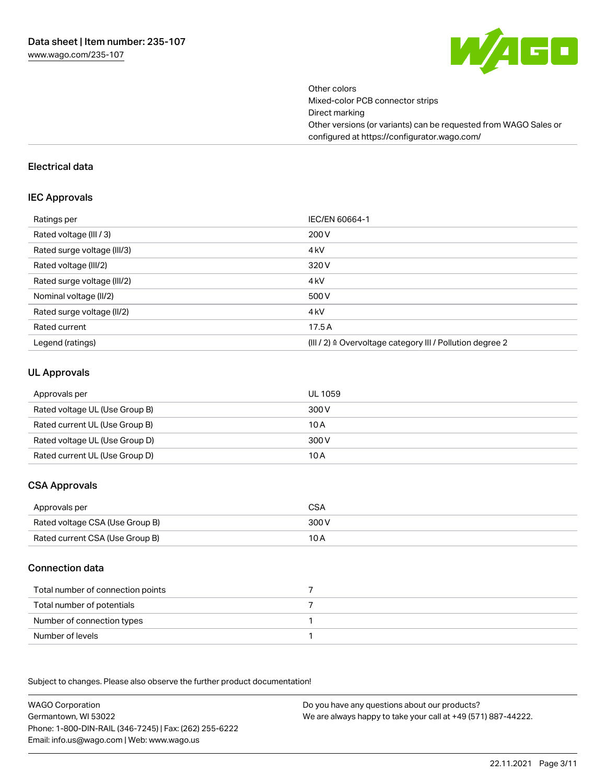

Other colors Mixed-color PCB connector strips Direct marking Other versions (or variants) can be requested from WAGO Sales or configured at https://configurator.wago.com/

#### Electrical data

#### IEC Approvals

| Ratings per                 | IEC/EN 60664-1                                                        |
|-----------------------------|-----------------------------------------------------------------------|
| Rated voltage (III / 3)     | 200 V                                                                 |
| Rated surge voltage (III/3) | 4 <sub>k</sub> V                                                      |
| Rated voltage (III/2)       | 320 V                                                                 |
| Rated surge voltage (III/2) | 4 <sub>k</sub> V                                                      |
| Nominal voltage (II/2)      | 500 V                                                                 |
| Rated surge voltage (II/2)  | 4 <sub>k</sub> V                                                      |
| Rated current               | 17.5A                                                                 |
| Legend (ratings)            | $(III / 2)$ $\triangle$ Overvoltage category III / Pollution degree 2 |

#### UL Approvals

| Approvals per                  | UL 1059 |
|--------------------------------|---------|
| Rated voltage UL (Use Group B) | 300 V   |
| Rated current UL (Use Group B) | 10 A    |
| Rated voltage UL (Use Group D) | 300 V   |
| Rated current UL (Use Group D) | 10 A    |

## CSA Approvals

| Approvals per                   | CSA   |
|---------------------------------|-------|
| Rated voltage CSA (Use Group B) | 300 V |
| Rated current CSA (Use Group B) | 10 A  |

### Connection data

| Total number of connection points |  |
|-----------------------------------|--|
| Total number of potentials        |  |
| Number of connection types        |  |
| Number of levels                  |  |

.<br>Subject to changes. Please also observe the further product documentation!

WAGO Corporation Germantown, WI 53022 Phone: 1-800-DIN-RAIL (346-7245) | Fax: (262) 255-6222 Email: info.us@wago.com | Web: www.wago.us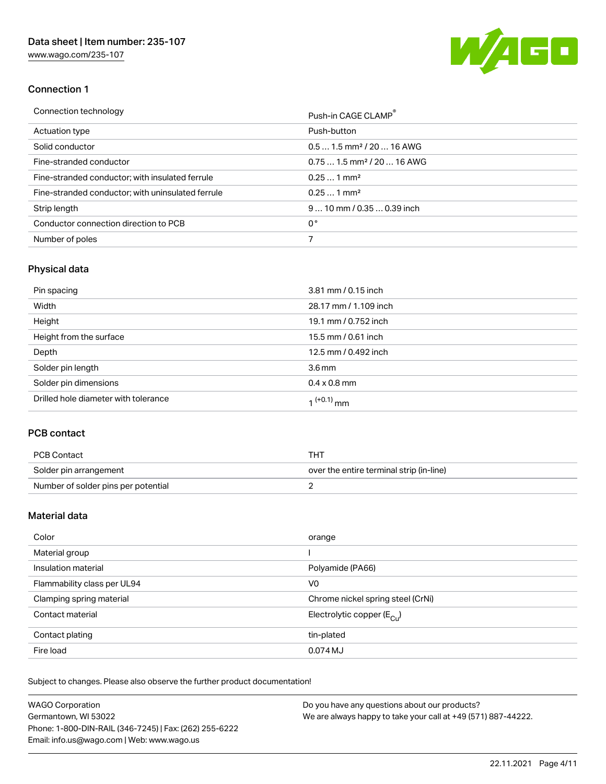[www.wago.com/235-107](http://www.wago.com/235-107)



## Connection 1

| Connection technology                             | Push-in CAGE CLAMP®                    |
|---------------------------------------------------|----------------------------------------|
| Actuation type                                    | Push-button                            |
| Solid conductor                                   | $0.51.5$ mm <sup>2</sup> / 20  16 AWG  |
| Fine-stranded conductor                           | $0.751.5$ mm <sup>2</sup> / 20  16 AWG |
| Fine-stranded conductor; with insulated ferrule   | $0.251$ mm <sup>2</sup>                |
| Fine-stranded conductor; with uninsulated ferrule | $0.251$ mm <sup>2</sup>                |
| Strip length                                      | $910$ mm $/0.350.39$ inch              |
| Conductor connection direction to PCB             | 0°                                     |
| Number of poles                                   |                                        |

# Physical data

| Pin spacing                          | 3.81 mm / 0.15 inch    |
|--------------------------------------|------------------------|
| Width                                | 28.17 mm / 1.109 inch  |
| Height                               | 19.1 mm / 0.752 inch   |
| Height from the surface              | 15.5 mm / 0.61 inch    |
| Depth                                | 12.5 mm / 0.492 inch   |
| Solder pin length                    | 3.6 <sub>mm</sub>      |
| Solder pin dimensions                | $0.4 \times 0.8$ mm    |
| Drilled hole diameter with tolerance | 1 <sup>(+0.1)</sup> mm |

## PCB contact

| PCB Contact                         | тнт                                      |
|-------------------------------------|------------------------------------------|
| Solder pin arrangement              | over the entire terminal strip (in-line) |
| Number of solder pins per potential |                                          |

## Material data

| Color                       | orange                                |
|-----------------------------|---------------------------------------|
| Material group              |                                       |
| Insulation material         | Polyamide (PA66)                      |
| Flammability class per UL94 | V0                                    |
| Clamping spring material    | Chrome nickel spring steel (CrNi)     |
| Contact material            | Electrolytic copper $(E_{\text{CL}})$ |
| Contact plating             | tin-plated                            |
| Fire load                   | 0.074 MJ                              |

Subject to changes. Please also observe the further product documentation!

| <b>WAGO Corporation</b>                                | Do you have any questions about our products?                 |
|--------------------------------------------------------|---------------------------------------------------------------|
| Germantown, WI 53022                                   | We are always happy to take your call at +49 (571) 887-44222. |
| Phone: 1-800-DIN-RAIL (346-7245)   Fax: (262) 255-6222 |                                                               |
| Email: info.us@wago.com   Web: www.wago.us             |                                                               |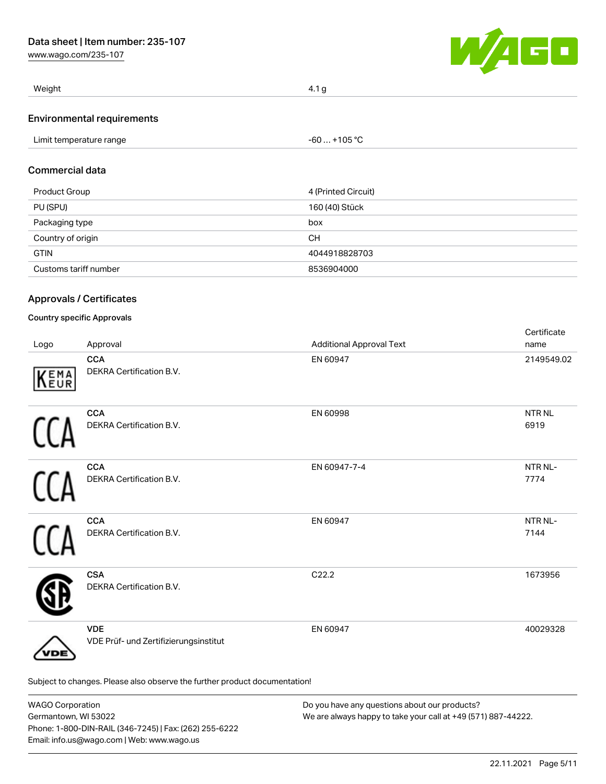[www.wago.com/235-107](http://www.wago.com/235-107)



| Weight                            | 4.1 <sub>g</sub>                                    |  |
|-----------------------------------|-----------------------------------------------------|--|
| <b>Environmental requirements</b> |                                                     |  |
| Limit temperature range           | $-60+105 °C$                                        |  |
| <b>Commercial data</b>            |                                                     |  |
| Product Group                     | 4 (Printed Circuit)                                 |  |
| P <sub>1</sub> (Q <sub>n</sub> )  | $\overline{100}$ $\overline{1101}$ $\overline{011}$ |  |

| PU (SPU)              | 160 (40) Stück |
|-----------------------|----------------|
| Packaging type        | box            |
| Country of origin     | CН             |
| <b>GTIN</b>           | 4044918828703  |
| Customs tariff number | 8536904000     |

# Approvals / Certificates

## Country specific Approvals

| Logo | Approval                                                                   | <b>Additional Approval Text</b> | Certificate<br>name  |
|------|----------------------------------------------------------------------------|---------------------------------|----------------------|
| KEMA | <b>CCA</b><br>DEKRA Certification B.V.                                     | EN 60947                        | 2149549.02           |
|      | <b>CCA</b><br>DEKRA Certification B.V.                                     | EN 60998                        | <b>NTRNL</b><br>6919 |
|      | <b>CCA</b><br>DEKRA Certification B.V.                                     | EN 60947-7-4                    | NTR NL-<br>7774      |
|      | <b>CCA</b><br>DEKRA Certification B.V.                                     | EN 60947                        | NTR NL-<br>7144      |
|      | <b>CSA</b><br>DEKRA Certification B.V.                                     | C22.2                           | 1673956              |
| 'DЕ  | <b>VDE</b><br>VDE Prüf- und Zertifizierungsinstitut                        | EN 60947                        | 40029328             |
|      | Subject to changes. Please also observe the further product documentation! |                                 |                      |

| <b>WAGO Corporation</b>                                | Do you have any questions about our products?                 |
|--------------------------------------------------------|---------------------------------------------------------------|
| Germantown, WI 53022                                   | We are always happy to take your call at +49 (571) 887-44222. |
| Phone: 1-800-DIN-RAIL (346-7245)   Fax: (262) 255-6222 |                                                               |
| Email: info.us@wago.com   Web: www.wago.us             |                                                               |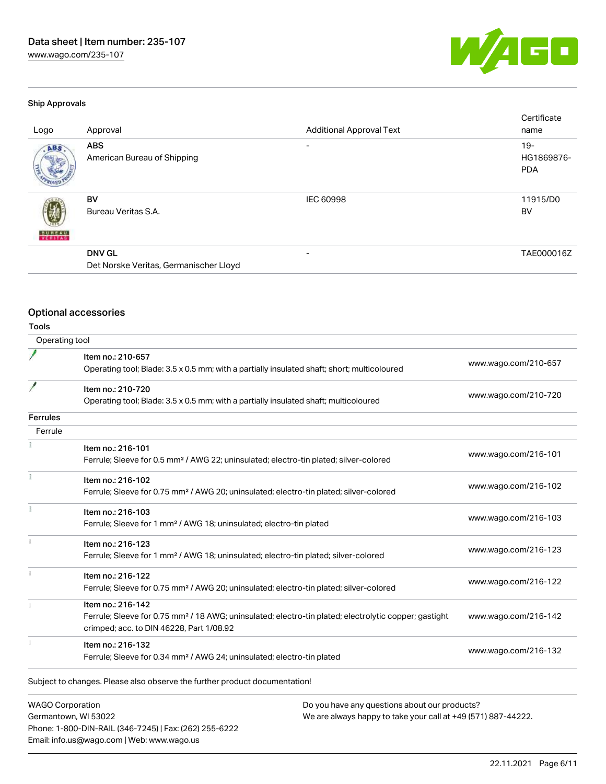[www.wago.com/235-107](http://www.wago.com/235-107)



### Ship Approvals

| Logo          | Approval                                                | <b>Additional Approval Text</b> | Certificate<br>name                |
|---------------|---------------------------------------------------------|---------------------------------|------------------------------------|
| ABS.          | <b>ABS</b><br>American Bureau of Shipping               | -                               | $19 -$<br>HG1869876-<br><b>PDA</b> |
| <b>BUREAU</b> | BV<br>Bureau Veritas S.A.                               | <b>IEC 60998</b>                | 11915/D0<br>BV                     |
|               | <b>DNV GL</b><br>Det Norske Veritas, Germanischer Lloyd |                                 | TAE000016Z                         |

# Optional accessories

Phone: 1-800-DIN-RAIL (346-7245) | Fax: (262) 255-6222

Email: info.us@wago.com | Web: www.wago.us

Tools

| Operating tool          |                                                                                                                                                                                    |                                                               |                      |
|-------------------------|------------------------------------------------------------------------------------------------------------------------------------------------------------------------------------|---------------------------------------------------------------|----------------------|
|                         | Item no.: 210-657<br>Operating tool; Blade: 3.5 x 0.5 mm; with a partially insulated shaft; short; multicoloured                                                                   |                                                               | www.wago.com/210-657 |
| 1                       | Item no.: 210-720<br>Operating tool; Blade: 3.5 x 0.5 mm; with a partially insulated shaft; multicoloured                                                                          |                                                               | www.wago.com/210-720 |
| Ferrules                |                                                                                                                                                                                    |                                                               |                      |
| Ferrule                 |                                                                                                                                                                                    |                                                               |                      |
|                         | Item no.: 216-101<br>Ferrule; Sleeve for 0.5 mm <sup>2</sup> / AWG 22; uninsulated; electro-tin plated; silver-colored                                                             |                                                               | www.wago.com/216-101 |
|                         | Item no.: 216-102<br>Ferrule; Sleeve for 0.75 mm <sup>2</sup> / AWG 20; uninsulated; electro-tin plated; silver-colored                                                            |                                                               | www.wago.com/216-102 |
|                         | Item no.: 216-103<br>Ferrule; Sleeve for 1 mm <sup>2</sup> / AWG 18; uninsulated; electro-tin plated                                                                               |                                                               | www.wago.com/216-103 |
| $\frac{1}{3}$           | Item no.: 216-123<br>Ferrule; Sleeve for 1 mm <sup>2</sup> / AWG 18; uninsulated; electro-tin plated; silver-colored                                                               |                                                               | www.wago.com/216-123 |
|                         | Item no.: 216-122<br>Ferrule; Sleeve for 0.75 mm <sup>2</sup> / AWG 20; uninsulated; electro-tin plated; silver-colored                                                            |                                                               | www.wago.com/216-122 |
|                         | Item no.: 216-142<br>Ferrule; Sleeve for 0.75 mm <sup>2</sup> / 18 AWG; uninsulated; electro-tin plated; electrolytic copper; gastight<br>crimped; acc. to DIN 46228, Part 1/08.92 |                                                               | www.wago.com/216-142 |
|                         | Item no.: 216-132<br>Ferrule; Sleeve for 0.34 mm <sup>2</sup> / AWG 24; uninsulated; electro-tin plated                                                                            |                                                               | www.wago.com/216-132 |
|                         | Subject to changes. Please also observe the further product documentation!                                                                                                         |                                                               |                      |
| <b>WAGO Corporation</b> |                                                                                                                                                                                    | Do you have any questions about our products?                 |                      |
| Germantown, WI 53022    |                                                                                                                                                                                    | We are always happy to take your call at +49 (571) 887-44222. |                      |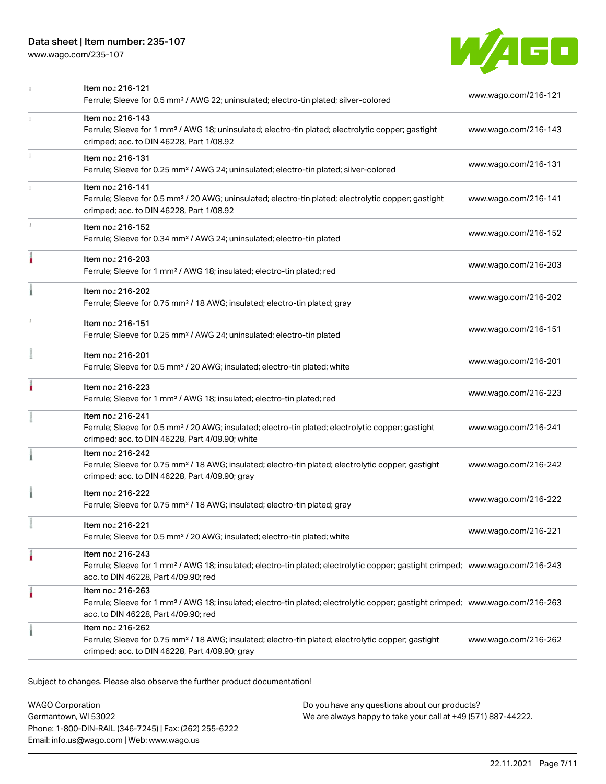[www.wago.com/235-107](http://www.wago.com/235-107)



| Item no.: 216-121<br>Ferrule; Sleeve for 0.5 mm <sup>2</sup> / AWG 22; uninsulated; electro-tin plated; silver-colored                                                                                  | www.wago.com/216-121 |
|---------------------------------------------------------------------------------------------------------------------------------------------------------------------------------------------------------|----------------------|
| Item no.: 216-143<br>Ferrule; Sleeve for 1 mm <sup>2</sup> / AWG 18; uninsulated; electro-tin plated; electrolytic copper; gastight<br>crimped; acc. to DIN 46228, Part 1/08.92                         | www.wago.com/216-143 |
| Item no.: 216-131<br>Ferrule; Sleeve for 0.25 mm <sup>2</sup> / AWG 24; uninsulated; electro-tin plated; silver-colored                                                                                 | www.wago.com/216-131 |
| Item no.: 216-141<br>Ferrule; Sleeve for 0.5 mm <sup>2</sup> / 20 AWG; uninsulated; electro-tin plated; electrolytic copper; gastight<br>crimped; acc. to DIN 46228, Part 1/08.92                       | www.wago.com/216-141 |
| Item no.: 216-152<br>Ferrule; Sleeve for 0.34 mm <sup>2</sup> / AWG 24; uninsulated; electro-tin plated                                                                                                 | www.wago.com/216-152 |
| Item no.: 216-203<br>Ferrule; Sleeve for 1 mm <sup>2</sup> / AWG 18; insulated; electro-tin plated; red                                                                                                 | www.wago.com/216-203 |
| Item no.: 216-202<br>Ferrule; Sleeve for 0.75 mm <sup>2</sup> / 18 AWG; insulated; electro-tin plated; gray                                                                                             | www.wago.com/216-202 |
| Item no.: 216-151<br>Ferrule; Sleeve for 0.25 mm <sup>2</sup> / AWG 24; uninsulated; electro-tin plated                                                                                                 | www.wago.com/216-151 |
| Item no.: 216-201<br>Ferrule; Sleeve for 0.5 mm <sup>2</sup> / 20 AWG; insulated; electro-tin plated; white                                                                                             | www.wago.com/216-201 |
| Item no.: 216-223<br>Ferrule; Sleeve for 1 mm <sup>2</sup> / AWG 18; insulated; electro-tin plated; red                                                                                                 | www.wago.com/216-223 |
| Item no.: 216-241<br>Ferrule; Sleeve for 0.5 mm <sup>2</sup> / 20 AWG; insulated; electro-tin plated; electrolytic copper; gastight<br>crimped; acc. to DIN 46228, Part 4/09.90; white                  | www.wago.com/216-241 |
| Item no.: 216-242<br>Ferrule; Sleeve for 0.75 mm <sup>2</sup> / 18 AWG; insulated; electro-tin plated; electrolytic copper; gastight<br>crimped; acc. to DIN 46228, Part 4/09.90; gray                  | www.wago.com/216-242 |
| Item no.: 216-222<br>Ferrule; Sleeve for 0.75 mm <sup>2</sup> / 18 AWG; insulated; electro-tin plated; gray                                                                                             | www.wago.com/216-222 |
| Item no.: 216-221<br>Ferrule; Sleeve for 0.5 mm <sup>2</sup> / 20 AWG; insulated; electro-tin plated; white                                                                                             | www.wago.com/216-221 |
| Item no.: 216-243<br>Ferrule; Sleeve for 1 mm <sup>2</sup> / AWG 18; insulated; electro-tin plated; electrolytic copper; gastight crimped; www.wago.com/216-243<br>acc. to DIN 46228, Part 4/09.90; red |                      |
| Item no.: 216-263<br>Ferrule; Sleeve for 1 mm <sup>2</sup> / AWG 18; insulated; electro-tin plated; electrolytic copper; gastight crimped; www.wago.com/216-263<br>acc. to DIN 46228, Part 4/09.90; red |                      |
| Item no.: 216-262<br>Ferrule; Sleeve for 0.75 mm <sup>2</sup> / 18 AWG; insulated; electro-tin plated; electrolytic copper; gastight<br>crimped; acc. to DIN 46228, Part 4/09.90; gray                  | www.wago.com/216-262 |
|                                                                                                                                                                                                         |                      |

Subject to changes. Please also observe the further product documentation!

WAGO Corporation Germantown, WI 53022 Phone: 1-800-DIN-RAIL (346-7245) | Fax: (262) 255-6222 Email: info.us@wago.com | Web: www.wago.us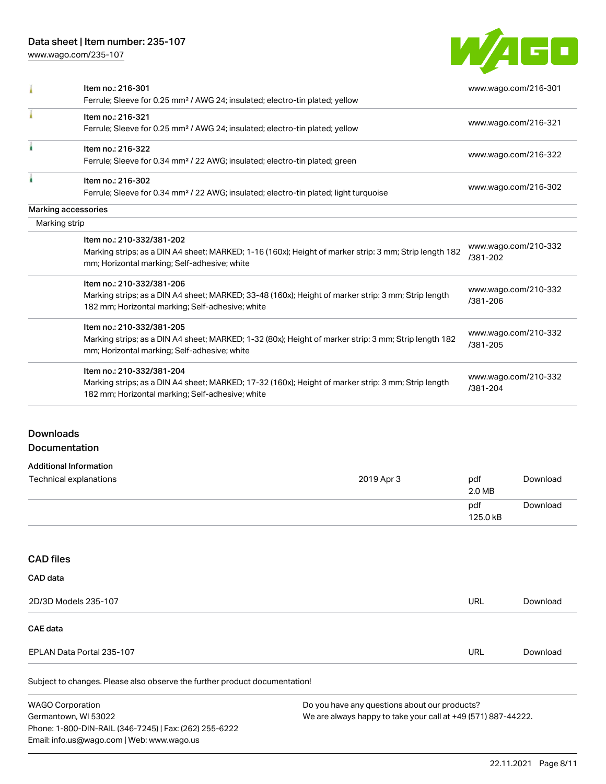[www.wago.com/235-107](http://www.wago.com/235-107)



|               | Item no.: 216-301                                                                                      | www.wago.com/216-301 |  |
|---------------|--------------------------------------------------------------------------------------------------------|----------------------|--|
|               | Ferrule; Sleeve for 0.25 mm <sup>2</sup> / AWG 24; insulated; electro-tin plated; yellow               |                      |  |
|               | Item no.: 216-321                                                                                      |                      |  |
|               | Ferrule; Sleeve for 0.25 mm <sup>2</sup> / AWG 24; insulated; electro-tin plated; yellow               | www.wago.com/216-321 |  |
|               | Item no.: 216-322                                                                                      |                      |  |
|               | Ferrule; Sleeve for 0.34 mm <sup>2</sup> / 22 AWG; insulated; electro-tin plated; green                | www.wago.com/216-322 |  |
|               | Item no.: 216-302                                                                                      |                      |  |
|               | Ferrule; Sleeve for 0.34 mm <sup>2</sup> / 22 AWG; insulated; electro-tin plated; light turquoise      | www.wago.com/216-302 |  |
|               | Marking accessories                                                                                    |                      |  |
| Marking strip |                                                                                                        |                      |  |
|               | Item no.: 210-332/381-202                                                                              |                      |  |
|               | Marking strips; as a DIN A4 sheet; MARKED; 1-16 (160x); Height of marker strip: 3 mm; Strip length 182 | www.wago.com/210-332 |  |
|               | mm; Horizontal marking; Self-adhesive; white                                                           | /381-202             |  |
|               | Item no.: 210-332/381-206                                                                              |                      |  |
|               | Marking strips; as a DIN A4 sheet; MARKED; 33-48 (160x); Height of marker strip: 3 mm; Strip length    | www.wago.com/210-332 |  |
|               | 182 mm; Horizontal marking; Self-adhesive; white                                                       | /381-206             |  |
|               | Item no.: 210-332/381-205                                                                              |                      |  |
|               | Marking strips; as a DIN A4 sheet; MARKED; 1-32 (80x); Height of marker strip: 3 mm; Strip length 182  | www.wago.com/210-332 |  |
|               | mm; Horizontal marking; Self-adhesive; white                                                           | /381-205             |  |
|               | Item no.: 210-332/381-204                                                                              |                      |  |
|               | Marking strips; as a DIN A4 sheet; MARKED; 17-32 (160x); Height of marker strip: 3 mm; Strip length    | www.wago.com/210-332 |  |
|               | 182 mm; Horizontal marking; Self-adhesive; white                                                       | /381-204             |  |

#### Additional Information

| Technical explanations | 2019 Apr 3 | pdf<br>2.0 MB   | Download |
|------------------------|------------|-----------------|----------|
|                        |            | pdf<br>125.0 kB | Download |

#### CAD files

| CAD data                  |     |          |
|---------------------------|-----|----------|
| 2D/3D Models 235-107      | URL | Download |
| CAE data                  |     |          |
| EPLAN Data Portal 235-107 | URL | Download |
|                           |     |          |

Subject to changes. Please also observe the further product documentation!

WAGO Corporation Germantown, WI 53022 Phone: 1-800-DIN-RAIL (346-7245) | Fax: (262) 255-6222 Email: info.us@wago.com | Web: www.wago.us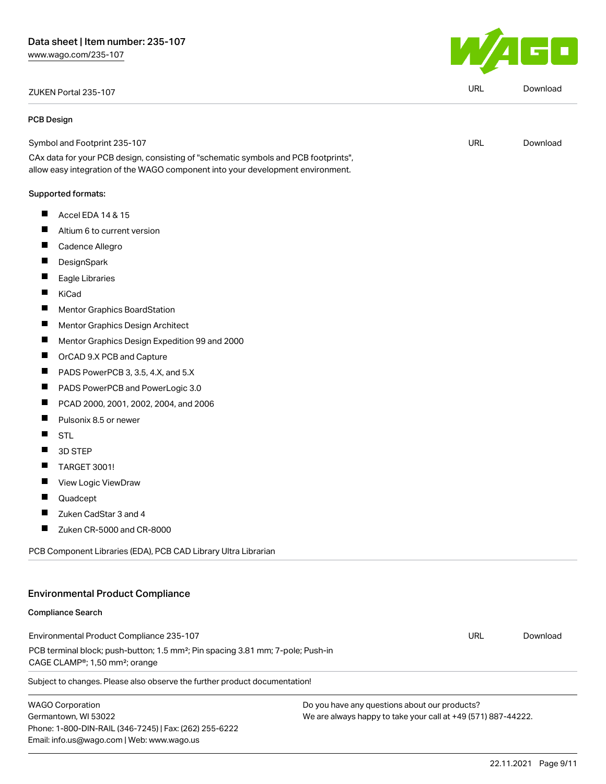# ZUKEN Portal 235-107 URL [Download](https://www.wago.com/global/d/Zuken_URLS_235-107)

#### PCB Design

Symbol and Footprint 235-107

CAx data for your PCB design, consisting of "schematic symbols and PCB footprints", allow easy integration of the WAGO component into your development environment.

#### Supported formats:

- $\blacksquare$ Accel EDA 14 & 15
- $\blacksquare$ Altium 6 to current version
- $\blacksquare$ Cadence Allegro
- $\blacksquare$ **DesignSpark**
- $\blacksquare$ Eagle Libraries
- $\blacksquare$ KiCad
- $\blacksquare$ Mentor Graphics BoardStation
- $\blacksquare$ Mentor Graphics Design Architect
- $\blacksquare$ Mentor Graphics Design Expedition 99 and 2000
- $\blacksquare$ OrCAD 9.X PCB and Capture
- $\blacksquare$ PADS PowerPCB 3, 3.5, 4.X, and 5.X
- $\blacksquare$ PADS PowerPCB and PowerLogic 3.0
- $\blacksquare$ PCAD 2000, 2001, 2002, 2004, and 2006
- $\blacksquare$ Pulsonix 8.5 or newer
- $\blacksquare$ STL
- 3D STEP  $\blacksquare$
- $\blacksquare$ TARGET 3001!
- П View Logic ViewDraw
- П Quadcept
- $\blacksquare$ Zuken CadStar 3 and 4
- $\blacksquare$ Zuken CR-5000 and CR-8000

PCB Component Libraries (EDA), PCB CAD Library Ultra Librarian

### Environmental Product Compliance

#### Compliance Search

Environmental Product Compliance 235-107 PCB terminal block; push-button; 1.5 mm²; Pin spacing 3.81 mm; 7-pole; Push-in CAGE CLAMP®; 1,50 mm²; orange URL [Download](https://www.wago.com/global/d/ComplianceLinkMediaContainer_235-107)

Subject to changes. Please also observe the further product documentation!

WAGO Corporation Germantown, WI 53022 Phone: 1-800-DIN-RAIL (346-7245) | Fax: (262) 255-6222 Email: info.us@wago.com | Web: www.wago.us

Do you have any questions about our products? We are always happy to take your call at +49 (571) 887-44222.



URL [Download](https://www.wago.com/global/d/UltraLibrarian_URLS_235-107)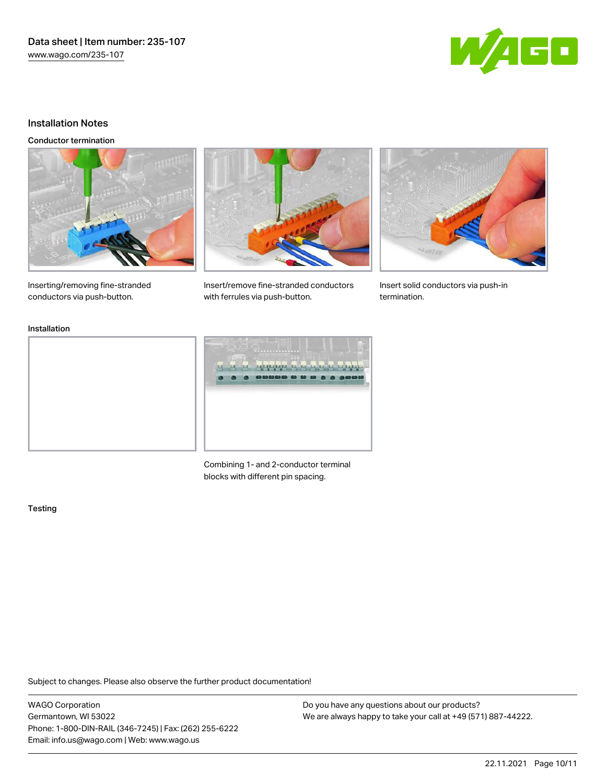Data sheet | Item number: 235-107 [www.wago.com/235-107](http://www.wago.com/235-107)



#### Installation Notes

Conductor termination



Inserting/removing fine-stranded conductors via push-button.



Insert/remove fine-stranded conductors with ferrules via push-button.



Insert solid conductors via push-in termination.

Installation



Combining 1- and 2-conductor terminal blocks with different pin spacing.

#### Testing

Subject to changes. Please also observe the further product documentation!

WAGO Corporation Germantown, WI 53022 Phone: 1-800-DIN-RAIL (346-7245) | Fax: (262) 255-6222 Email: info.us@wago.com | Web: www.wago.us